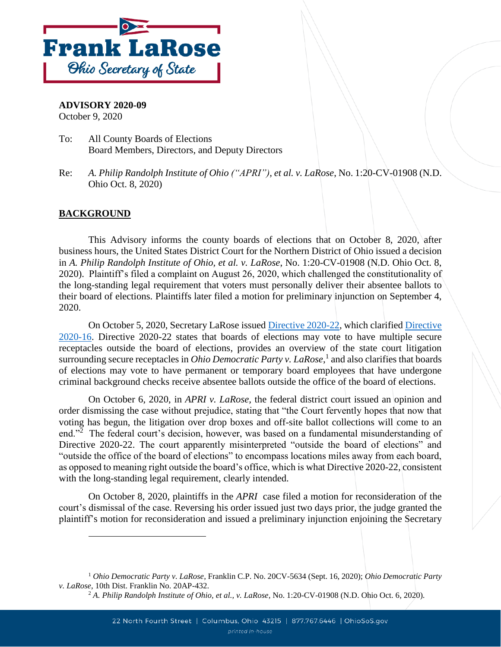

## **ADVISORY 2020-09**

October 9, 2020

- To: All County Boards of Elections Board Members, Directors, and Deputy Directors
- Re: *A. Philip Randolph Institute of Ohio ("APRI"), et al. v. LaRose*, No. 1:20-CV-01908 (N.D. Ohio Oct. 8, 2020)

## **BACKGROUND**

 $\overline{a}$ 

This Advisory informs the county boards of elections that on October 8, 2020, after business hours, the United States District Court for the Northern District of Ohio issued a decision in *A. Philip Randolph Institute of Ohio, et al. v. LaRose*, No. 1:20-CV-01908 (N.D. Ohio Oct. 8, 2020). Plaintiff's filed a complaint on August 26, 2020, which challenged the constitutionality of the long-standing legal requirement that voters must personally deliver their absentee ballots to their board of elections. Plaintiffs later filed a motion for preliminary injunction on September 4, 2020.

On October 5, 2020, Secretary LaRose issued [Directive 2020-22,](https://www.ohiosos.gov/globalassets/elections/directives/2020/dir2020-22.pdf) which clarified [Directive](https://www.ohiosos.gov/globalassets/elections/directives/2020/dir2020-16.pdf)  [2020-16.](https://www.ohiosos.gov/globalassets/elections/directives/2020/dir2020-16.pdf) Directive 2020-22 states that boards of elections may vote to have multiple secure receptacles outside the board of elections, provides an overview of the state court litigation surrounding secure receptacles in *Ohio Democratic Party v. LaRose*, 1 and also clarifies that boards of elections may vote to have permanent or temporary board employees that have undergone criminal background checks receive absentee ballots outside the office of the board of elections.

On October 6, 2020, in *APRI v. LaRose,* the federal district court issued an opinion and order dismissing the case without prejudice, stating that "the Court fervently hopes that now that voting has begun, the litigation over drop boxes and off-site ballot collections will come to an end."<sup>2</sup> The federal court's decision, however, was based on a fundamental misunderstanding of Directive 2020-22. The court apparently misinterpreted "outside the board of elections" and "outside the office of the board of elections" to encompass locations miles away from each board, as opposed to meaning right outside the board's office, which is what Directive 2020-22, consistent with the long-standing legal requirement, clearly intended.

On October 8, 2020, plaintiffs in the *APRI* case filed a motion for reconsideration of the court's dismissal of the case. Reversing his order issued just two days prior, the judge granted the plaintiff's motion for reconsideration and issued a preliminary injunction enjoining the Secretary

<sup>1</sup> *Ohio Democratic Party v. LaRose*, Franklin C.P. No. 20CV-5634 (Sept. 16, 2020); *Ohio Democratic Party v. LaRose*, 10th Dist. Franklin No. 20AP-432.

<sup>2</sup> *A. Philip Randolph Institute of Ohio, et al., v. LaRose*, No. 1:20-CV-01908 (N.D. Ohio Oct. 6, 2020).